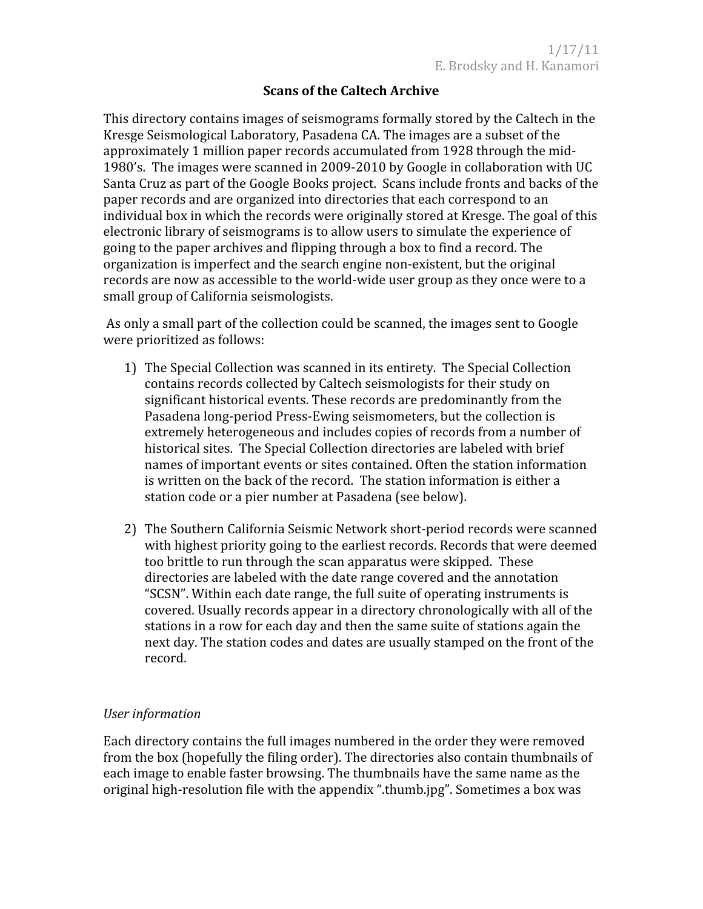# **Scans
of
the
Caltech
Archive**

This
directory
contains
images
of
seismograms
formally
stored
by
the
Caltech
in
the Kresge
Seismological
Laboratory,
Pasadena
CA.
The
images
are
a
subset
of
the approximately 1 million paper records accumulated from 1928 through the mid-1980's. The
images
were
scanned
in
2009‐2010
by
Google
in
collaboration
with
UC Santa Cruz as part of the Google Books project. Scans include fronts and backs of the paper
records
and
are
organized
into
directories
that
each
correspond
to
an individual box in which the records were originally stored at Kresge. The goal of this electronic
library
of
seismograms
is
to
allow
users
to
simulate
the
experience
of going
to
the
paper
archives
and
flipping
through
a
box
to
find
a
record.
The organization
is
imperfect
and
the
search
engine
non‐existent,
but
the
original records are now as accessible to the world-wide user group as they once were to a small
group
of
California
seismologists.

As only a small part of the collection could be scanned, the images sent to Google were
prioritized
as
follows:

- 1) The
Special
Collection
was
scanned
in
its
entirety.

The
Special
Collection contains
records
collected
by
Caltech
seismologists
for
their
study
on significant
historical
events.
These
records
are
predominantly
from
the Pasadena
long‐period
Press‐Ewing
seismometers,
but
the
collection
is extremely
heterogeneous
and
includes
copies
of
records
from
a
number
of historical
sites.

The
Special
Collection
directories
are
labeled
with
brief names
of
important
events
or
sites
contained.
Often
the
station
information is written on the back of the record. The station information is either a station code or a pier number at Pasadena (see below).
- 2) The
Southern
California
Seismic
Network
short‐period
records
were
scanned with highest priority going to the earliest records. Records that were deemed too brittle to run through the scan apparatus were skipped. These directories
are
labeled
with
the
date
range
covered
and
the
annotation "SCSN".
Within
each
date
range,
the
full
suite
of
operating
instruments
is covered.
Usually
records
appear
in
a
directory
chronologically
with
all
of
the stations in a row for each day and then the same suite of stations again the next
day.
The
station
codes
and
dates
are
usually
stamped
on
the
front
of
the record.

## *User
information*

Each
directory
contains
the
full
images
numbered
in
the
order
they
were
removed from the box (hopefully the filing order). The directories also contain thumbnails of each
image
to
enable
faster
browsing.
The
thumbnails
have
the
same
name
as
the original
high‐resolution
file
with
the
appendix
".thumb.jpg".
Sometimes
a
box
was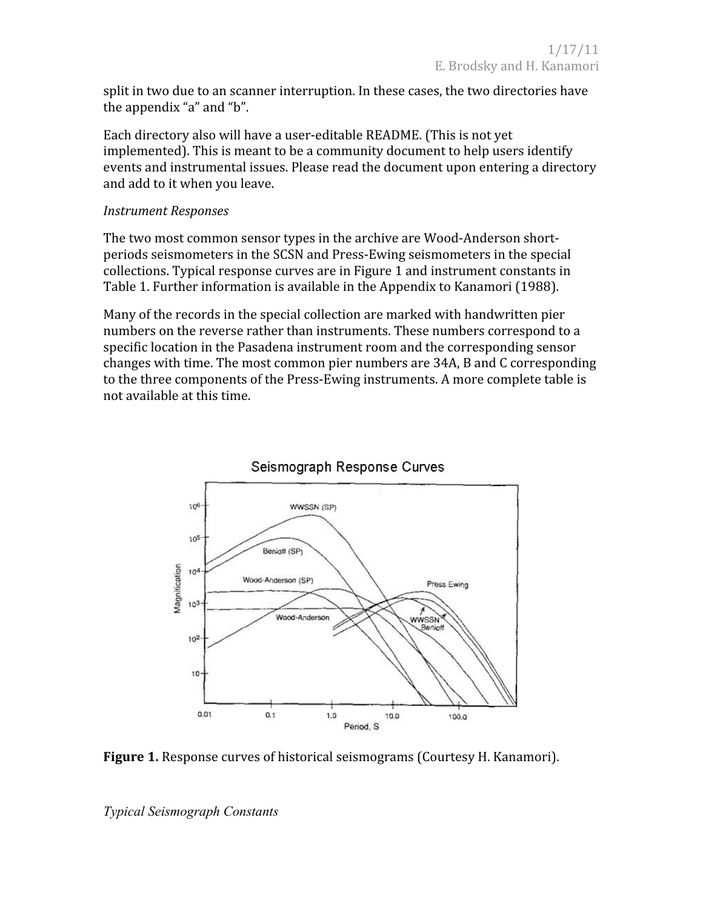split in two due to an scanner interruption. In these cases, the two directories have the
appendix
"a"
and
"b".

Each directory also will have a user-editable README. (This is not yet implemented). This is meant to be a community document to help users identify events and instrumental issues. Please read the document upon entering a directory and
add
to
it
when
you
leave.

### *Instrument
Responses*

The
two
most
common
sensor
types
in
the
archive
are
Wood‐Anderson
short‐ periods
seismometers
in
the
SCSN
and
Press‐Ewing
seismometers
in
the
special collections.
Typical
response
curves
are
in
Figure
1
and
instrument
constants
in Table 1. Further information is available in the Appendix to Kanamori (1988).

Many of the records in the special collection are marked with handwritten pier numbers on the reverse rather than instruments. These numbers correspond to a specific location in the Pasadena instrument room and the corresponding sensor changes
with
time.
The
most
common
pier
numbers
are
34A,
B
and
C
corresponding to the three components of the Press-Ewing instruments. A more complete table is not
available
at
this
time.



# Seismograph Response Curves

Figure 1. Response curves of historical seismograms (Courtesy H. Kanamori).

*Typical Seismograph Constants*